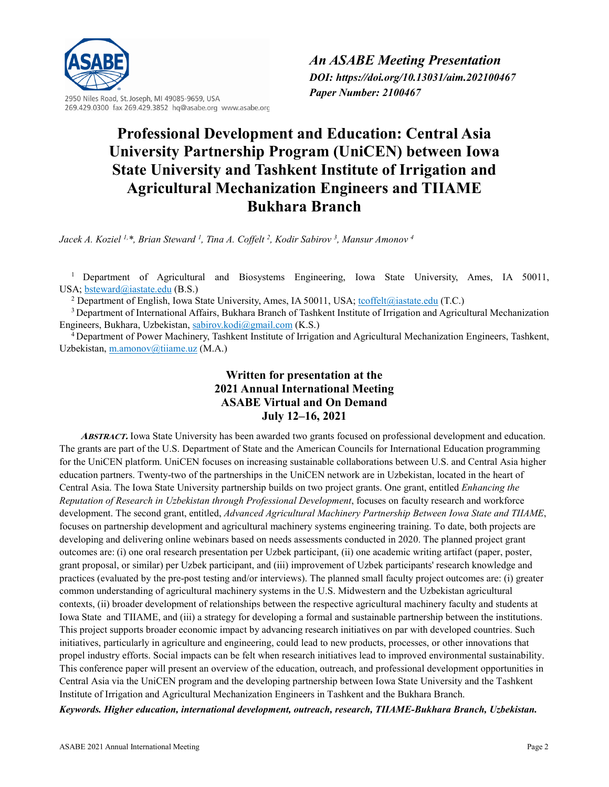

2950 Niles Road, St. Joseph, MI 49085-9659, USA 269.429.0300 fax 269.429.3852 hq@asabe.org www.asabe.org

# **Professional Development and Education: Central Asia University Partnership Program (UniCEN) between Iowa State University and Tashkent Institute of Irrigation and Agricultural Mechanization Engineers and TIIAME Bukhara Branch**

*Jacek A. Koziel 1,\*, Brian Steward 1 , Tina A. Coffelt <sup>2</sup> , Kodir Sabirov <sup>3</sup> , Mansur Amonov <sup>4</sup>*

<sup>1</sup> Department of Agricultural and Biosystems Engineering, Iowa State University, Ames, IA 50011, USA; <u>bsteward@iastate.edu</u> (B.S.)<br><sup>2</sup> Department of English, Iowa State University, Ames, IA 50011, USA; <u>tcoffelt@iastate.edu</u> (T.C.)

<sup>3</sup> Department of International Affairs, Bukhara Branch of Tashkent Institute of Irrigation and Agricultural Mechanization Engineers, Bukhara, Uzbekistan, [sabirov.kodi@gmail.com](mailto:sabirov.kodi@gmail.com) (K.S.)

<sup>4</sup> Department of Power Machinery, Tashkent Institute of Irrigation and Agricultural Mechanization Engineers, Tashkent, Uzbekistan[, m.amonov@tiiame.uz](mailto:m.amonov@tiiame.uz) (M.A.)

> **Written for presentation at the 2021 Annual International Meeting ASABE Virtual and On Demand July 12–16, 2021**

**ABSTRACT.** Iowa State University has been awarded two grants focused on professional development and education. The grants are part of the U.S. Department of State and the American Councils for International Education programming for the UniCEN platform. UniCEN focuses on increasing sustainable collaborations between U.S. and Central Asia higher education partners. Twenty-two of the partnerships in the UniCEN network are in Uzbekistan, located in the heart of Central Asia. The Iowa State University partnership builds on two project grants. One grant, entitled *Enhancing the Reputation of Research in Uzbekistan through Professional Development*, focuses on faculty research and workforce development. The second grant, entitled, *Advanced Agricultural Machinery Partnership Between Iowa State and TIIAME*, focuses on partnership development and agricultural machinery systems engineering training. To date, both projects are developing and delivering online webinars based on needs assessments conducted in 2020. The planned project grant outcomes are: (i) one oral research presentation per Uzbek participant, (ii) one academic writing artifact (paper, poster, grant proposal, or similar) per Uzbek participant, and (iii) improvement of Uzbek participants' research knowledge and practices (evaluated by the pre-post testing and/or interviews). The planned small faculty project outcomes are: (i) greater common understanding of agricultural machinery systems in the U.S. Midwestern and the Uzbekistan agricultural contexts, (ii) broader development of relationships between the respective agricultural machinery faculty and students at Iowa State and TIIAME, and (iii) a strategy for developing a formal and sustainable partnership between the institutions. This project supports broader economic impact by advancing research initiatives on par with developed countries. Such initiatives, particularly in agriculture and engineering, could lead to new products, processes, or other innovations that propel industry efforts. Social impacts can be felt when research initiatives lead to improved environmental sustainability. This conference paper will present an overview of the education, outreach, and professional development opportunities in Central Asia via the UniCEN program and the developing partnership between Iowa State University and the Tashkent Institute of Irrigation and Agricultural Mechanization Engineers in Tashkent and the Bukhara Branch.

*Keywords. Higher education, international development, outreach, research, TIIAME-Bukhara Branch, Uzbekistan.*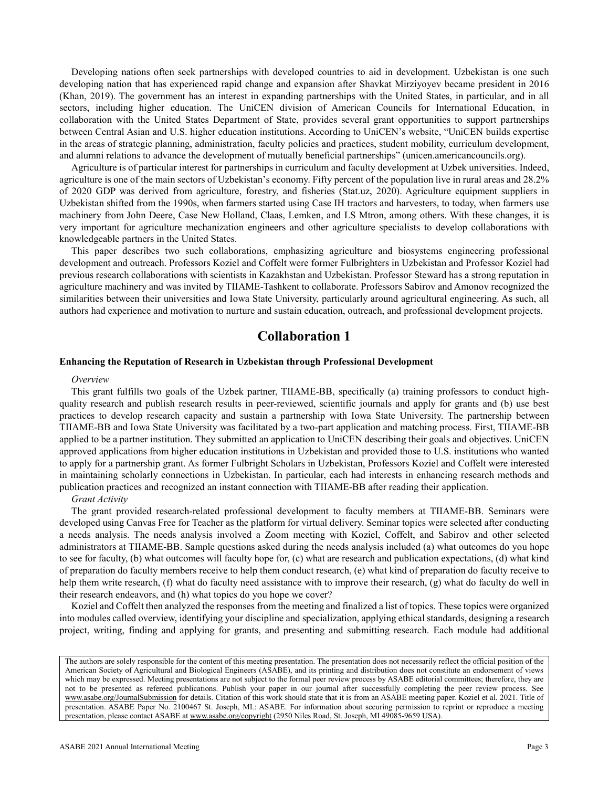Developing nations often seek partnerships with developed countries to aid in development. Uzbekistan is one such developing nation that has experienced rapid change and expansion after Shavkat Mirziyoyev became president in 2016 (Khan, 2019). The government has an interest in expanding partnerships with the United States, in particular, and in all sectors, including higher education. The UniCEN division of American Councils for International Education, in collaboration with the United States Department of State, provides several grant opportunities to support partnerships between Central Asian and U.S. higher education institutions. According to UniCEN's website, "UniCEN builds expertise in the areas of strategic planning, administration, faculty policies and practices, student mobility, curriculum development, and alumni relations to advance the development of mutually beneficial partnerships" (unicen.americancouncils.org).

Agriculture is of particular interest for partnerships in curriculum and faculty development at Uzbek universities. Indeed, agriculture is one of the main sectors of Uzbekistan's economy. Fifty percent of the population live in rural areas and 28.2% of 2020 GDP was derived from agriculture, forestry, and fisheries (Stat.uz, 2020). Agriculture equipment suppliers in Uzbekistan shifted from the 1990s, when farmers started using Case IH tractors and harvesters, to today, when farmers use machinery from John Deere, Case New Holland, Claas, Lemken, and LS Mtron, among others. With these changes, it is very important for agriculture mechanization engineers and other agriculture specialists to develop collaborations with knowledgeable partners in the United States.

This paper describes two such collaborations, emphasizing agriculture and biosystems engineering professional development and outreach. Professors Koziel and Coffelt were former Fulbrighters in Uzbekistan and Professor Koziel had previous research collaborations with scientists in Kazakhstan and Uzbekistan. Professor Steward has a strong reputation in agriculture machinery and was invited by TIIAME-Tashkent to collaborate. Professors Sabirov and Amonov recognized the similarities between their universities and Iowa State University, particularly around agricultural engineering. As such, all authors had experience and motivation to nurture and sustain education, outreach, and professional development projects.

# **Collaboration 1**

## **Enhancing the Reputation of Research in Uzbekistan through Professional Development**

#### *Overview*

This grant fulfills two goals of the Uzbek partner, TIIAME-BB, specifically (a) training professors to conduct highquality research and publish research results in peer-reviewed, scientific journals and apply for grants and (b) use best practices to develop research capacity and sustain a partnership with Iowa State University. The partnership between TIIAME-BB and Iowa State University was facilitated by a two-part application and matching process. First, TIIAME-BB applied to be a partner institution. They submitted an application to UniCEN describing their goals and objectives. UniCEN approved applications from higher education institutions in Uzbekistan and provided those to U.S. institutions who wanted to apply for a partnership grant. As former Fulbright Scholars in Uzbekistan, Professors Koziel and Coffelt were interested in maintaining scholarly connections in Uzbekistan. In particular, each had interests in enhancing research methods and publication practices and recognized an instant connection with TIIAME-BB after reading their application.

### *Grant Activity*

The grant provided research-related professional development to faculty members at TIIAME-BB. Seminars were developed using Canvas Free for Teacher as the platform for virtual delivery. Seminar topics were selected after conducting a needs analysis. The needs analysis involved a Zoom meeting with Koziel, Coffelt, and Sabirov and other selected administrators at TIIAME-BB. Sample questions asked during the needs analysis included (a) what outcomes do you hope to see for faculty, (b) what outcomes will faculty hope for, (c) what are research and publication expectations, (d) what kind of preparation do faculty members receive to help them conduct research, (e) what kind of preparation do faculty receive to help them write research, (f) what do faculty need assistance with to improve their research, (g) what do faculty do well in their research endeavors, and (h) what topics do you hope we cover?

Koziel and Coffelt then analyzed the responses from the meeting and finalized a list of topics. These topics were organized into modules called overview, identifying your discipline and specialization, applying ethical standards, designing a research project, writing, finding and applying for grants, and presenting and submitting research. Each module had additional

The authors are solely responsible for the content of this meeting presentation. The presentation does not necessarily reflect the official position of the American Society of Agricultural and Biological Engineers (ASABE), and its printing and distribution does not constitute an endorsement of views which may be expressed. Meeting presentations are not subject to the formal peer review process by ASABE editorial committees; therefore, they are not to be presented as refereed publications. Publish your paper in our journal after successfully completing the peer review process. See [www.asabe.org/JournalSubmission](http://www.asabe.org/JournalSubmission) for details. Citation of this work should state that it is from an ASABE meeting paper. Koziel et al. 2021. Title of presentation. ASABE Paper No. 2100467 St. Joseph, MI.: ASABE. For information about securing permission to reprint or reproduce a meeting presentation, please contact ASABE a[t www.asabe.org/copyright](http://www.asabe.org/copyright) (2950 Niles Road, St. Joseph, MI 49085-9659 USA)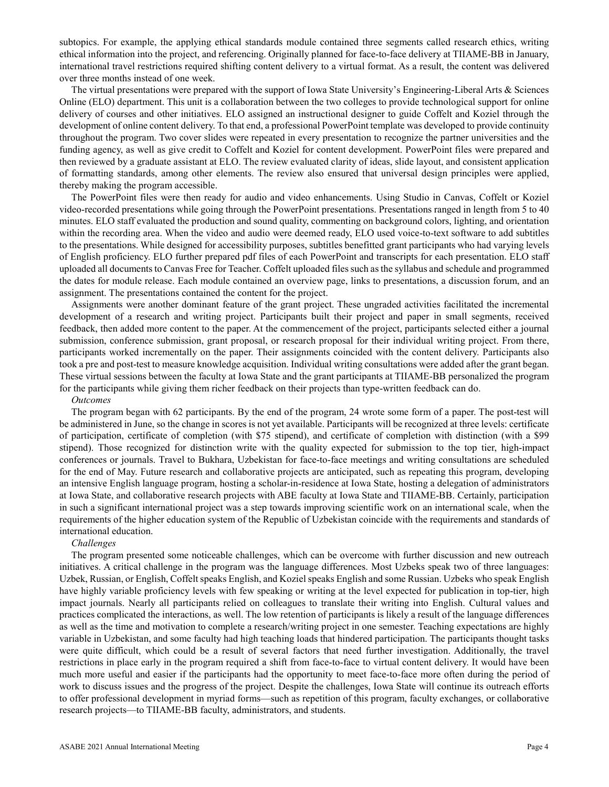subtopics. For example, the applying ethical standards module contained three segments called research ethics, writing ethical information into the project, and referencing. Originally planned for face-to-face delivery at TIIAME-BB in January, international travel restrictions required shifting content delivery to a virtual format. As a result, the content was delivered over three months instead of one week.

The virtual presentations were prepared with the support of Iowa State University's Engineering-Liberal Arts & Sciences Online (ELO) department. This unit is a collaboration between the two colleges to provide technological support for online delivery of courses and other initiatives. ELO assigned an instructional designer to guide Coffelt and Koziel through the development of online content delivery. To that end, a professional PowerPoint template was developed to provide continuity throughout the program. Two cover slides were repeated in every presentation to recognize the partner universities and the funding agency, as well as give credit to Coffelt and Koziel for content development. PowerPoint files were prepared and then reviewed by a graduate assistant at ELO. The review evaluated clarity of ideas, slide layout, and consistent application of formatting standards, among other elements. The review also ensured that universal design principles were applied, thereby making the program accessible.

The PowerPoint files were then ready for audio and video enhancements. Using Studio in Canvas, Coffelt or Koziel video-recorded presentations while going through the PowerPoint presentations. Presentations ranged in length from 5 to 40 minutes. ELO staff evaluated the production and sound quality, commenting on background colors, lighting, and orientation within the recording area. When the video and audio were deemed ready, ELO used voice-to-text software to add subtitles to the presentations. While designed for accessibility purposes, subtitles benefitted grant participants who had varying levels of English proficiency. ELO further prepared pdf files of each PowerPoint and transcripts for each presentation. ELO staff uploaded all documents to Canvas Free for Teacher. Coffelt uploaded files such as the syllabus and schedule and programmed the dates for module release. Each module contained an overview page, links to presentations, a discussion forum, and an assignment. The presentations contained the content for the project.

Assignments were another dominant feature of the grant project. These ungraded activities facilitated the incremental development of a research and writing project. Participants built their project and paper in small segments, received feedback, then added more content to the paper. At the commencement of the project, participants selected either a journal submission, conference submission, grant proposal, or research proposal for their individual writing project. From there, participants worked incrementally on the paper. Their assignments coincided with the content delivery. Participants also took a pre and post-test to measure knowledge acquisition. Individual writing consultations were added after the grant began. These virtual sessions between the faculty at Iowa State and the grant participants at TIIAME-BB personalized the program for the participants while giving them richer feedback on their projects than type-written feedback can do.

### *Outcomes*

The program began with 62 participants. By the end of the program, 24 wrote some form of a paper. The post-test will be administered in June, so the change in scores is not yet available. Participants will be recognized at three levels: certificate of participation, certificate of completion (with \$75 stipend), and certificate of completion with distinction (with a \$99 stipend). Those recognized for distinction write with the quality expected for submission to the top tier, high-impact conferences or journals. Travel to Bukhara, Uzbekistan for face-to-face meetings and writing consultations are scheduled for the end of May. Future research and collaborative projects are anticipated, such as repeating this program, developing an intensive English language program, hosting a scholar-in-residence at Iowa State, hosting a delegation of administrators at Iowa State, and collaborative research projects with ABE faculty at Iowa State and TIIAME-BB. Certainly, participation in such a significant international project was a step towards improving scientific work on an international scale, when the requirements of the higher education system of the Republic of Uzbekistan coincide with the requirements and standards of international education.

#### *Challenges*

The program presented some noticeable challenges, which can be overcome with further discussion and new outreach initiatives. A critical challenge in the program was the language differences. Most Uzbeks speak two of three languages: Uzbek, Russian, or English, Coffelt speaks English, and Koziel speaks English and some Russian. Uzbeks who speak English have highly variable proficiency levels with few speaking or writing at the level expected for publication in top-tier, high impact journals. Nearly all participants relied on colleagues to translate their writing into English. Cultural values and practices complicated the interactions, as well. The low retention of participants is likely a result of the language differences as well as the time and motivation to complete a research/writing project in one semester. Teaching expectations are highly variable in Uzbekistan, and some faculty had high teaching loads that hindered participation. The participants thought tasks were quite difficult, which could be a result of several factors that need further investigation. Additionally, the travel restrictions in place early in the program required a shift from face-to-face to virtual content delivery. It would have been much more useful and easier if the participants had the opportunity to meet face-to-face more often during the period of work to discuss issues and the progress of the project. Despite the challenges, Iowa State will continue its outreach efforts to offer professional development in myriad forms—such as repetition of this program, faculty exchanges, or collaborative research projects—to TIIAME-BB faculty, administrators, and students.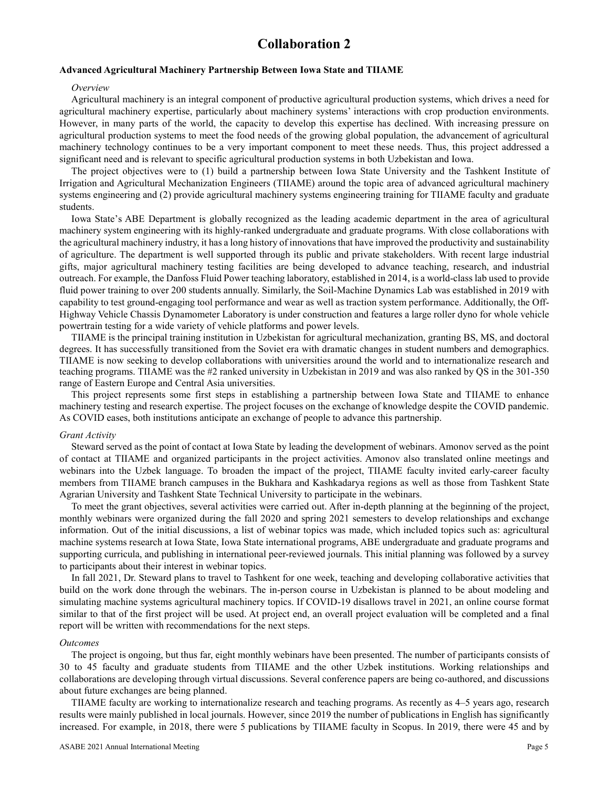# **Collaboration 2**

# **Advanced Agricultural Machinery Partnership Between Iowa State and TIIAME**

### *Overview*

Agricultural machinery is an integral component of productive agricultural production systems, which drives a need for agricultural machinery expertise, particularly about machinery systems' interactions with crop production environments. However, in many parts of the world, the capacity to develop this expertise has declined. With increasing pressure on agricultural production systems to meet the food needs of the growing global population, the advancement of agricultural machinery technology continues to be a very important component to meet these needs. Thus, this project addressed a significant need and is relevant to specific agricultural production systems in both Uzbekistan and Iowa.

The project objectives were to (1) build a partnership between Iowa State University and the Tashkent Institute of Irrigation and Agricultural Mechanization Engineers (TIIAME) around the topic area of advanced agricultural machinery systems engineering and (2) provide agricultural machinery systems engineering training for TIIAME faculty and graduate students.

Iowa State's ABE Department is globally recognized as the leading academic department in the area of agricultural machinery system engineering with its highly-ranked undergraduate and graduate programs. With close collaborations with the agricultural machinery industry, it has a long history of innovations that have improved the productivity and sustainability of agriculture. The department is well supported through its public and private stakeholders. With recent large industrial gifts, major agricultural machinery testing facilities are being developed to advance teaching, research, and industrial outreach. For example, the Danfoss Fluid Power teaching laboratory, established in 2014, is a world-class lab used to provide fluid power training to over 200 students annually. Similarly, the Soil-Machine Dynamics Lab was established in 2019 with capability to test ground-engaging tool performance and wear as well as traction system performance. Additionally, the Off-Highway Vehicle Chassis Dynamometer Laboratory is under construction and features a large roller dyno for whole vehicle powertrain testing for a wide variety of vehicle platforms and power levels.

TIIAME is the principal training institution in Uzbekistan for agricultural mechanization, granting BS, MS, and doctoral degrees. It has successfully transitioned from the Soviet era with dramatic changes in student numbers and demographics. TIIAME is now seeking to develop collaborations with universities around the world and to internationalize research and teaching programs. TIIAME was the #2 ranked university in Uzbekistan in 2019 and was also ranked by QS in the 301-350 range of Eastern Europe and Central Asia universities.

This project represents some first steps in establishing a partnership between Iowa State and TIIAME to enhance machinery testing and research expertise. The project focuses on the exchange of knowledge despite the COVID pandemic. As COVID eases, both institutions anticipate an exchange of people to advance this partnership.

#### *Grant Activity*

Steward served as the point of contact at Iowa State by leading the development of webinars. Amonov served as the point of contact at TIIAME and organized participants in the project activities. Amonov also translated online meetings and webinars into the Uzbek language. To broaden the impact of the project, TIIAME faculty invited early-career faculty members from TIIAME branch campuses in the Bukhara and Kashkadarya regions as well as those from Tashkent State Agrarian University and Tashkent State Technical University to participate in the webinars.

To meet the grant objectives, several activities were carried out. After in-depth planning at the beginning of the project, monthly webinars were organized during the fall 2020 and spring 2021 semesters to develop relationships and exchange information. Out of the initial discussions, a list of webinar topics was made, which included topics such as: agricultural machine systems research at Iowa State, Iowa State international programs, ABE undergraduate and graduate programs and supporting curricula, and publishing in international peer-reviewed journals. This initial planning was followed by a survey to participants about their interest in webinar topics.

In fall 2021, Dr. Steward plans to travel to Tashkent for one week, teaching and developing collaborative activities that build on the work done through the webinars. The in-person course in Uzbekistan is planned to be about modeling and simulating machine systems agricultural machinery topics. If COVID-19 disallows travel in 2021, an online course format similar to that of the first project will be used. At project end, an overall project evaluation will be completed and a final report will be written with recommendations for the next steps.

### *Outcomes*

The project is ongoing, but thus far, eight monthly webinars have been presented. The number of participants consists of 30 to 45 faculty and graduate students from TIIAME and the other Uzbek institutions. Working relationships and collaborations are developing through virtual discussions. Several conference papers are being co-authored, and discussions about future exchanges are being planned.

TIIAME faculty are working to internationalize research and teaching programs. As recently as 4–5 years ago, research results were mainly published in local journals. However, since 2019 the number of publications in English has significantly increased. For example, in 2018, there were 5 publications by TIIAME faculty in Scopus. In 2019, there were 45 and by